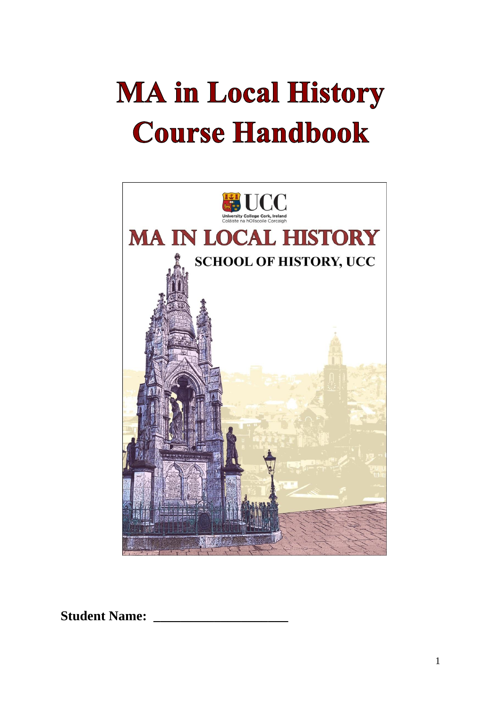# **MA in Local History Course Handbook**



**Student Name: \_\_\_\_\_\_\_\_\_\_\_\_\_\_\_\_\_\_\_\_**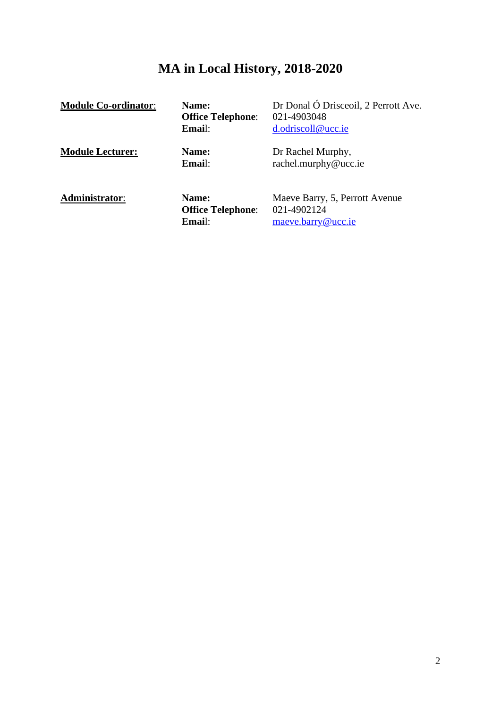# **MA in Local History, 2018-2020**

| <b>Module Co-ordinator:</b> | Name:<br><b>Office Telephone:</b><br>Email: | Dr Donal Ó Drisceoil, 2 Perrott Ave.<br>021-4903048<br>d.odriscoll@ucc.ie |
|-----------------------------|---------------------------------------------|---------------------------------------------------------------------------|
| <b>Module Lecturer:</b>     | Name:<br>Email:                             | Dr Rachel Murphy,<br>rachel.murphy@ucc.ie                                 |
| Administrator:              | Name:<br><b>Office Telephone:</b><br>Email: | Maeve Barry, 5, Perrott Avenue<br>021-4902124<br>maeve.barry@ucc.ie       |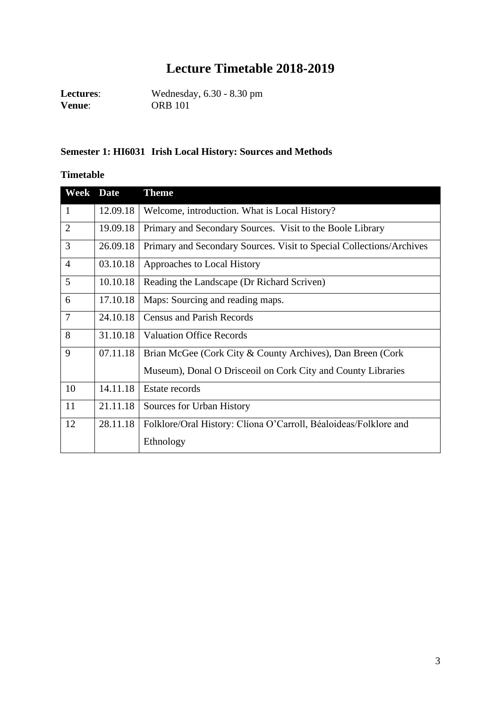## **Lecture Timetable 2018-2019**

**Lectures**: Wednesday, 6.30 - 8.30 pm **Venue**: ORB 101

#### **Semester 1: HI6031 Irish Local History: Sources and Methods**

#### **Timetable**

| Week           | <b>Date</b> | <b>Theme</b>                                                         |
|----------------|-------------|----------------------------------------------------------------------|
| $\mathbf{1}$   | 12.09.18    | Welcome, introduction. What is Local History?                        |
| $\overline{2}$ | 19.09.18    | Primary and Secondary Sources. Visit to the Boole Library            |
| 3              | 26.09.18    | Primary and Secondary Sources. Visit to Special Collections/Archives |
| $\overline{4}$ | 03.10.18    | Approaches to Local History                                          |
| 5              | 10.10.18    | Reading the Landscape (Dr Richard Scriven)                           |
| 6              | 17.10.18    | Maps: Sourcing and reading maps.                                     |
| $\overline{7}$ | 24.10.18    | <b>Census and Parish Records</b>                                     |
| 8              | 31.10.18    | <b>Valuation Office Records</b>                                      |
| 9              | 07.11.18    | Brian McGee (Cork City & County Archives), Dan Breen (Cork)          |
|                |             | Museum), Donal O Drisceoil on Cork City and County Libraries         |
| 10             | 14.11.18    | Estate records                                                       |
| 11             | 21.11.18    | Sources for Urban History                                            |
| 12             | 28.11.18    | Folklore/Oral History: Cliona O'Carroll, Béaloideas/Folklore and     |
|                |             | Ethnology                                                            |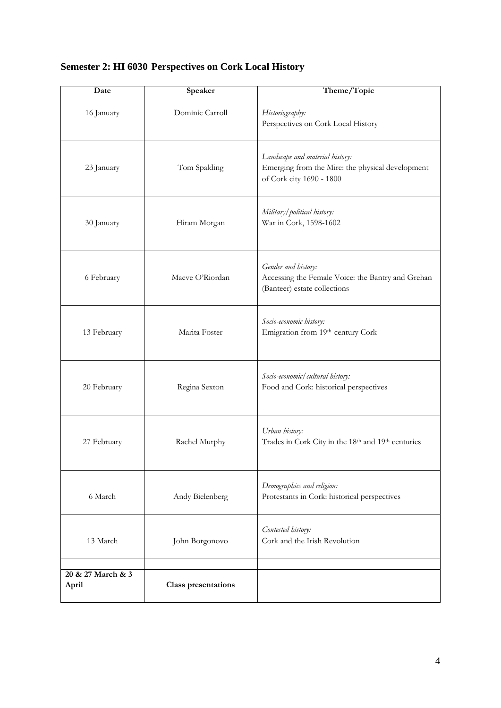## **Semester 2: HI 6030 Perspectives on Cork Local History**

| Date                       | Speaker                    | Theme/Topic                                                                                                     |
|----------------------------|----------------------------|-----------------------------------------------------------------------------------------------------------------|
| 16 January                 | Dominic Carroll            | Historiography:<br>Perspectives on Cork Local History                                                           |
| 23 January                 | Tom Spalding               | Landscape and material history:<br>Emerging from the Mire: the physical development<br>of Cork city 1690 - 1800 |
| 30 January                 | Hiram Morgan               | Military/political history:<br>War in Cork, 1598-1602                                                           |
| 6 February                 | Maeve O'Riordan            | Gender and history:<br>Accessing the Female Voice: the Bantry and Grehan<br>(Banteer) estate collections        |
| 13 February                | Marita Foster              | Socio-economic history:<br>Emigration from 19th-century Cork                                                    |
| 20 February                | Regina Sexton              | Socio-economic/cultural history:<br>Food and Cork: historical perspectives                                      |
| 27 February                | Rachel Murphy              | Urban history:<br>Trades in Cork City in the 18th and 19th centuries                                            |
| 6 March                    | Andy Bielenberg            | Demographics and religion:<br>Protestants in Cork: historical perspectives                                      |
| 13 March                   | John Borgonovo             | Contested history:<br>Cork and the Irish Revolution                                                             |
| 20 & 27 March & 3<br>April | <b>Class presentations</b> |                                                                                                                 |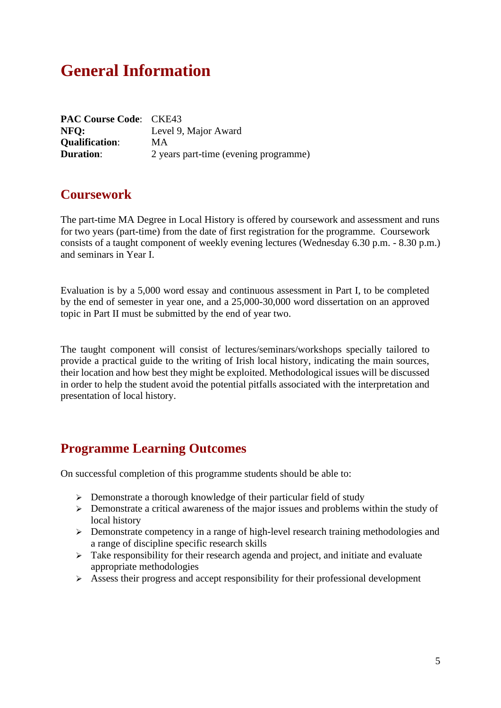## **General Information**

| <b>PAC Course Code: CKE43</b> |                                       |
|-------------------------------|---------------------------------------|
| NFO:                          | Level 9, Major Award                  |
| <b>Qualification:</b>         | <b>MA</b>                             |
| <b>Duration:</b>              | 2 years part-time (evening programme) |

#### **Coursework**

The part-time MA Degree in Local History is offered by coursework and assessment and runs for two years (part-time) from the date of first registration for the programme. Coursework consists of a taught component of weekly evening lectures (Wednesday 6.30 p.m. - 8.30 p.m.) and seminars in Year I.

Evaluation is by a 5,000 word essay and continuous assessment in Part I, to be completed by the end of semester in year one, and a 25,000-30,000 word dissertation on an approved topic in Part II must be submitted by the end of year two.

The taught component will consist of lectures/seminars/workshops specially tailored to provide a practical guide to the writing of Irish local history, indicating the main sources, their location and how best they might be exploited. Methodological issues will be discussed in order to help the student avoid the potential pitfalls associated with the interpretation and presentation of local history.

### **Programme Learning Outcomes**

On successful completion of this programme students should be able to:

- ➢ Demonstrate a thorough knowledge of their particular field of study
- ➢ Demonstrate a critical awareness of the major issues and problems within the study of local history
- ➢ Demonstrate competency in a range of high-level research training methodologies and a range of discipline specific research skills
- $\triangleright$  Take responsibility for their research agenda and project, and initiate and evaluate appropriate methodologies
- ➢ Assess their progress and accept responsibility for their professional development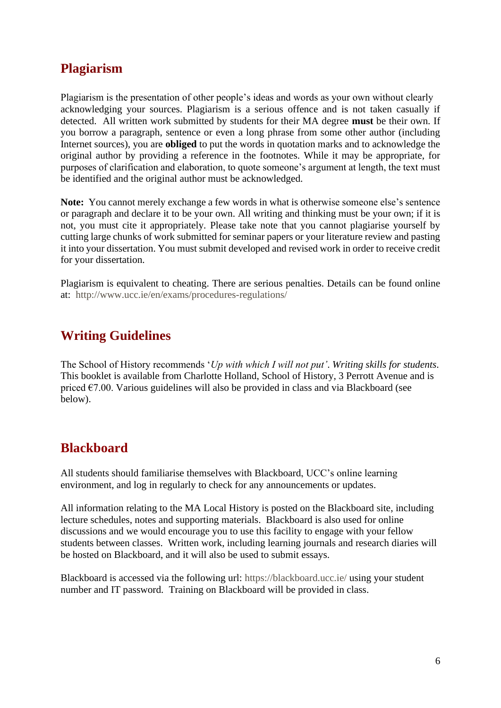## **Plagiarism**

Plagiarism is the presentation of other people's ideas and words as your own without clearly acknowledging your sources. Plagiarism is a serious offence and is not taken casually if detected. All written work submitted by students for their MA degree **must** be their own. If you borrow a paragraph, sentence or even a long phrase from some other author (including Internet sources), you are **obliged** to put the words in quotation marks and to acknowledge the original author by providing a reference in the footnotes. While it may be appropriate, for purposes of clarification and elaboration, to quote someone's argument at length, the text must be identified and the original author must be acknowledged.

**Note:** You cannot merely exchange a few words in what is otherwise someone else's sentence or paragraph and declare it to be your own. All writing and thinking must be your own; if it is not, you must cite it appropriately*.* Please take note that you cannot plagiarise yourself by cutting large chunks of work submitted for seminar papers or your literature review and pasting it into your dissertation. You must submit developed and revised work in order to receive credit for your dissertation.

Plagiarism is equivalent to cheating. There are serious penalties. Details can be found online at: <http://www.ucc.ie/en/exams/procedures-regulations/>

## **Writing Guidelines**

The School of History recommends '*Up with which I will not put'*. *Writing skills for students*. This booklet is available from Charlotte Holland, School of History, 3 Perrott Avenue and is priced  $\epsilon$ 7.00. Various guidelines will also be provided in class and via Blackboard (see below).

### **Blackboard**

All students should familiarise themselves with Blackboard, UCC's online learning environment, and log in regularly to check for any announcements or updates.

All information relating to the MA Local History is posted on the Blackboard site, including lecture schedules, notes and supporting materials. Blackboard is also used for online discussions and we would encourage you to use this facility to engage with your fellow students between classes. Written work, including learning journals and research diaries will be hosted on Blackboard, and it will also be used to submit essays.

Blackboard is accessed via the following url:<https://blackboard.ucc.ie/> using your student number and IT password. Training on Blackboard will be provided in class.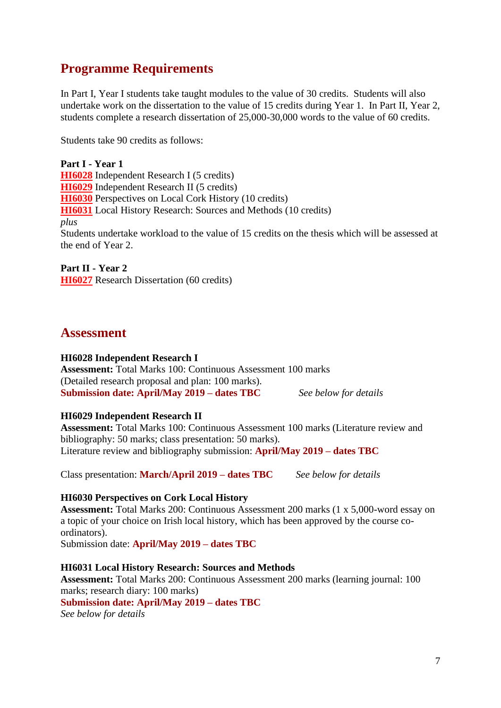## **Programme Requirements**

In Part I, Year I students take taught modules to the value of 30 credits. Students will also undertake work on the dissertation to the value of 15 credits during Year 1. In Part II, Year 2, students complete a research dissertation of 25,000-30,000 words to the value of 60 credits.

Students take 90 credits as follows:

**Part I - Year 1 [HI6028](http://www.ucc.ie/modules/descriptions/HI.html#HI6028)** Independent Research I (5 credits) **[HI6029](http://www.ucc.ie/modules/descriptions/HI.html#HI6029)** Independent Research II (5 credits) **[HI6030](http://www.ucc.ie/modules/descriptions/HI.html#HI6030)** Perspectives on Local Cork History (10 credits) **[HI6031](http://www.ucc.ie/modules/descriptions/HI.html#HI6031)** Local History Research: Sources and Methods (10 credits) *plus* Students undertake workload to the value of 15 credits on the thesis which will be assessed at the end of Year 2.

**Part II - Year 2 [HI6027](http://www.ucc.ie/modules/descriptions/HI.html#HI6027)** Research Dissertation (60 credits)

#### **Assessment**

#### **HI6028 Independent Research I**

**Assessment:** Total Marks 100: Continuous Assessment 100 marks (Detailed research proposal and plan: 100 marks). **Submission date: April/May 2019 – dates TBC** *See below for details*

#### **HI6029 Independent Research II**

**Assessment:** Total Marks 100: Continuous Assessment 100 marks (Literature review and bibliography: 50 marks; class presentation: 50 marks). Literature review and bibliography submission: **April/May 2019 – dates TBC**

Class presentation: **March/April 2019 – dates TBC** *See below for details*

#### **HI6030 Perspectives on Cork Local History**

**Assessment:** Total Marks 200: Continuous Assessment 200 marks (1 x 5,000-word essay on a topic of your choice on Irish local history, which has been approved by the course coordinators).

Submission date: **April/May 2019 – dates TBC**

#### **HI6031 Local History Research: Sources and Methods**

**Assessment:** Total Marks 200: Continuous Assessment 200 marks (learning journal: 100 marks; research diary: 100 marks)

**Submission date: April/May 2019 – dates TBC** 

*See below for details*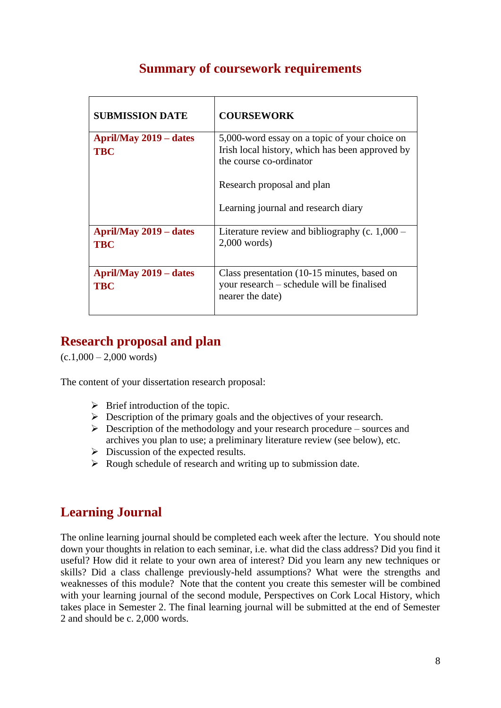| <b>SUBMISSION DATE</b>                      | <b>COURSEWORK</b>                                                                                                           |
|---------------------------------------------|-----------------------------------------------------------------------------------------------------------------------------|
| <b>April/May 2019 – dates</b><br><b>TBC</b> | 5,000-word essay on a topic of your choice on<br>Irish local history, which has been approved by<br>the course co-ordinator |
|                                             | Research proposal and plan                                                                                                  |
|                                             | Learning journal and research diary                                                                                         |
| <b>April/May 2019 – dates</b><br><b>TBC</b> | Literature review and bibliography (c. $1,000 -$<br>$2,000$ words)                                                          |
| <b>April/May 2019 – dates</b><br><b>TBC</b> | Class presentation (10-15 minutes, based on<br>your research – schedule will be finalised<br>nearer the date)               |

## **Summary of coursework requirements**

## **Research proposal and plan**

 $(c.1,000 - 2,000$  words)

The content of your dissertation research proposal:

- $\triangleright$  Brief introduction of the topic.
- ➢ Description of the primary goals and the objectives of your research.
- $\triangleright$  Description of the methodology and your research procedure sources and archives you plan to use; a preliminary literature review (see below), etc.
- $\triangleright$  Discussion of the expected results.
- ➢ Rough schedule of research and writing up to submission date.

## **Learning Journal**

The online learning journal should be completed each week after the lecture. You should note down your thoughts in relation to each seminar, i.e. what did the class address? Did you find it useful? How did it relate to your own area of interest? Did you learn any new techniques or skills? Did a class challenge previously-held assumptions? What were the strengths and weaknesses of this module? Note that the content you create this semester will be combined with your learning journal of the second module, Perspectives on Cork Local History, which takes place in Semester 2. The final learning journal will be submitted at the end of Semester 2 and should be c. 2,000 words.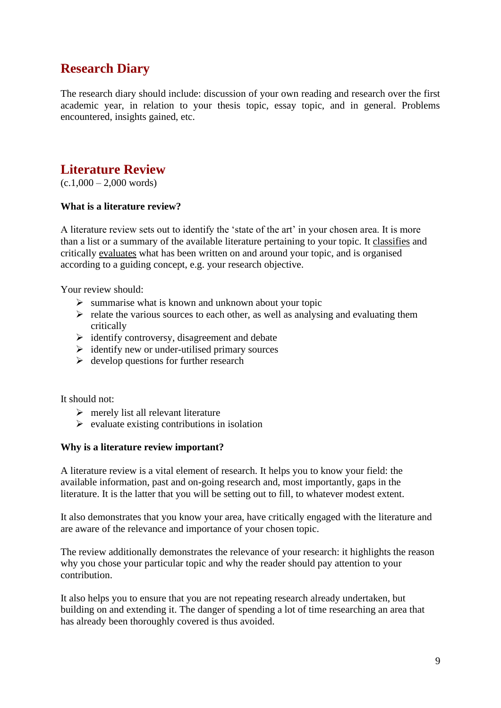## **Research Diary**

The research diary should include: discussion of your own reading and research over the first academic year, in relation to your thesis topic, essay topic, and in general. Problems encountered, insights gained, etc.

## **Literature Review**

 $(c.1,000 - 2,000$  words)

#### **What is a literature review?**

A literature review sets out to identify the 'state of the art' in your chosen area. It is more than a list or a summary of the available literature pertaining to your topic. It classifies and critically evaluates what has been written on and around your topic, and is organised according to a guiding concept, e.g. your research objective.

Your review should:

- $\triangleright$  summarise what is known and unknown about your topic
- $\triangleright$  relate the various sources to each other, as well as analysing and evaluating them critically
- ➢ identify controversy, disagreement and debate
- $\triangleright$  identify new or under-utilised primary sources
- $\triangleright$  develop questions for further research

It should not:

- $\triangleright$  merely list all relevant literature
- $\triangleright$  evaluate existing contributions in isolation

#### **Why is a literature review important?**

A literature review is a vital element of research. It helps you to know your field: the available information, past and on-going research and, most importantly, gaps in the literature. It is the latter that you will be setting out to fill, to whatever modest extent.

It also demonstrates that you know your area, have critically engaged with the literature and are aware of the relevance and importance of your chosen topic.

The review additionally demonstrates the relevance of your research: it highlights the reason why you chose your particular topic and why the reader should pay attention to your contribution.

It also helps you to ensure that you are not repeating research already undertaken, but building on and extending it. The danger of spending a lot of time researching an area that has already been thoroughly covered is thus avoided.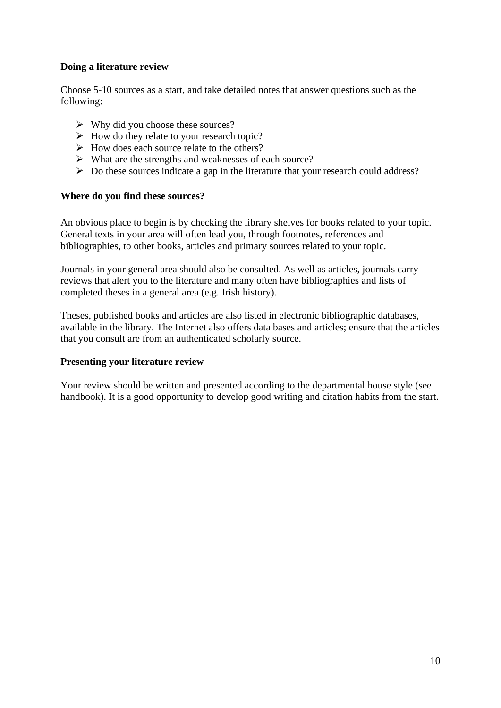#### **Doing a literature review**

Choose 5-10 sources as a start, and take detailed notes that answer questions such as the following:

- $\triangleright$  Why did you choose these sources?
- $\triangleright$  How do they relate to your research topic?
- ➢ How does each source relate to the others?
- ➢ What are the strengths and weaknesses of each source?
- ➢ Do these sources indicate a gap in the literature that your research could address?

#### **Where do you find these sources?**

An obvious place to begin is by checking the library shelves for books related to your topic. General texts in your area will often lead you, through footnotes, references and bibliographies, to other books, articles and primary sources related to your topic.

Journals in your general area should also be consulted. As well as articles, journals carry reviews that alert you to the literature and many often have bibliographies and lists of completed theses in a general area (e.g. Irish history).

Theses, published books and articles are also listed in electronic bibliographic databases, available in the library. The Internet also offers data bases and articles; ensure that the articles that you consult are from an authenticated scholarly source.

#### **Presenting your literature review**

Your review should be written and presented according to the departmental house style (see handbook). It is a good opportunity to develop good writing and citation habits from the start.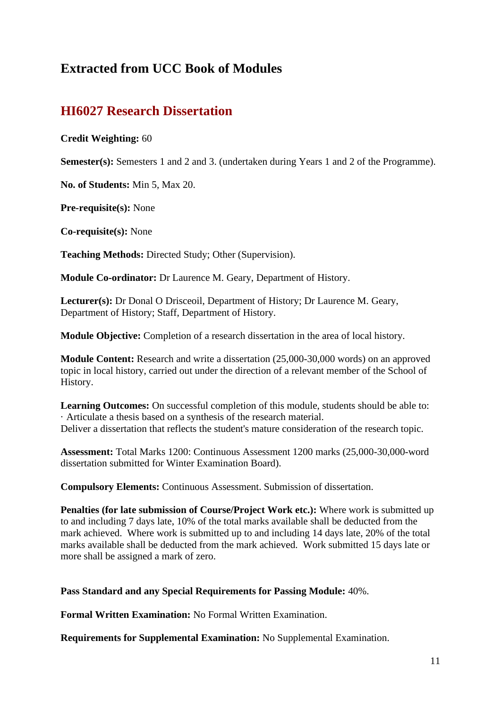## **Extracted from UCC Book of Modules**

## **HI6027 Research Dissertation**

#### **Credit Weighting:** 60

**Semester(s):** Semesters 1 and 2 and 3. (undertaken during Years 1 and 2 of the Programme).

**No. of Students:** Min 5, Max 20.

**Pre-requisite(s):** None

**Co-requisite(s):** None

**Teaching Methods:** Directed Study; Other (Supervision).

**Module Co-ordinator:** Dr Laurence M. Geary, Department of History.

**Lecturer(s):** Dr Donal O Drisceoil, Department of History; Dr Laurence M. Geary, Department of History; Staff, Department of History.

**Module Objective:** Completion of a research dissertation in the area of local history.

**Module Content:** Research and write a dissertation (25,000-30,000 words) on an approved topic in local history, carried out under the direction of a relevant member of the School of History.

**Learning Outcomes:** On successful completion of this module, students should be able to: · Articulate a thesis based on a synthesis of the research material. Deliver a dissertation that reflects the student's mature consideration of the research topic.

**Assessment:** Total Marks 1200: Continuous Assessment 1200 marks (25,000-30,000-word dissertation submitted for Winter Examination Board).

**Compulsory Elements:** Continuous Assessment. Submission of dissertation.

**Penalties (for late submission of Course/Project Work etc.):** Where work is submitted up to and including 7 days late, 10% of the total marks available shall be deducted from the mark achieved. Where work is submitted up to and including 14 days late, 20% of the total marks available shall be deducted from the mark achieved. Work submitted 15 days late or more shall be assigned a mark of zero.

#### **Pass Standard and any Special Requirements for Passing Module:** 40%.

**Formal Written Examination:** No Formal Written Examination.

**Requirements for Supplemental Examination:** No Supplemental Examination.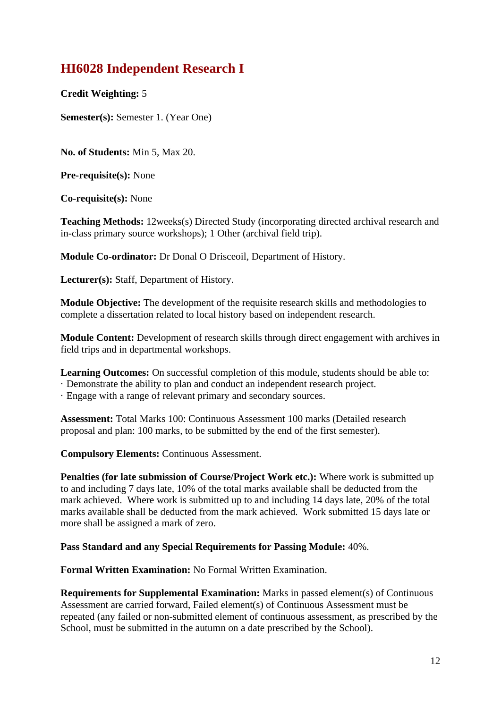## **HI6028 Independent Research I**

**Credit Weighting:** 5

**Semester(s):** Semester 1. (Year One)

**No. of Students:** Min 5, Max 20.

**Pre-requisite(s):** None

**Co-requisite(s):** None

**Teaching Methods:** 12weeks(s) Directed Study (incorporating directed archival research and in-class primary source workshops); 1 Other (archival field trip).

**Module Co-ordinator:** Dr Donal O Drisceoil, Department of History.

**Lecturer(s):** Staff, Department of History.

**Module Objective:** The development of the requisite research skills and methodologies to complete a dissertation related to local history based on independent research.

**Module Content:** Development of research skills through direct engagement with archives in field trips and in departmental workshops.

Learning Outcomes: On successful completion of this module, students should be able to:

· Demonstrate the ability to plan and conduct an independent research project.

· Engage with a range of relevant primary and secondary sources.

**Assessment:** Total Marks 100: Continuous Assessment 100 marks (Detailed research proposal and plan: 100 marks, to be submitted by the end of the first semester).

**Compulsory Elements:** Continuous Assessment.

**Penalties (for late submission of Course/Project Work etc.):** Where work is submitted up to and including 7 days late, 10% of the total marks available shall be deducted from the mark achieved. Where work is submitted up to and including 14 days late, 20% of the total marks available shall be deducted from the mark achieved. Work submitted 15 days late or more shall be assigned a mark of zero.

#### **Pass Standard and any Special Requirements for Passing Module:** 40%.

**Formal Written Examination:** No Formal Written Examination.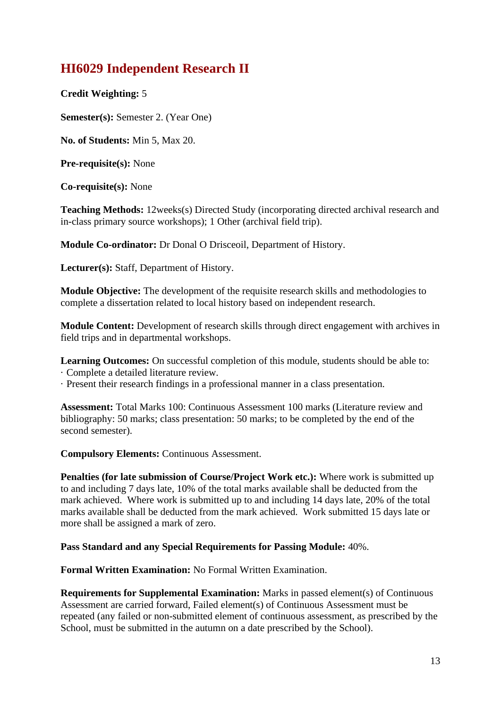## **HI6029 Independent Research II**

**Credit Weighting:** 5

**Semester(s):** Semester 2. (Year One)

**No. of Students:** Min 5, Max 20.

**Pre-requisite(s):** None

**Co-requisite(s):** None

**Teaching Methods:** 12weeks(s) Directed Study (incorporating directed archival research and in-class primary source workshops); 1 Other (archival field trip).

**Module Co-ordinator:** Dr Donal O Drisceoil, Department of History.

**Lecturer(s):** Staff, Department of History.

**Module Objective:** The development of the requisite research skills and methodologies to complete a dissertation related to local history based on independent research.

**Module Content:** Development of research skills through direct engagement with archives in field trips and in departmental workshops.

Learning Outcomes: On successful completion of this module, students should be able to:

· Complete a detailed literature review.

· Present their research findings in a professional manner in a class presentation.

**Assessment:** Total Marks 100: Continuous Assessment 100 marks (Literature review and bibliography: 50 marks; class presentation: 50 marks; to be completed by the end of the second semester).

**Compulsory Elements:** Continuous Assessment.

**Penalties (for late submission of Course/Project Work etc.):** Where work is submitted up to and including 7 days late, 10% of the total marks available shall be deducted from the mark achieved. Where work is submitted up to and including 14 days late, 20% of the total marks available shall be deducted from the mark achieved. Work submitted 15 days late or more shall be assigned a mark of zero.

**Pass Standard and any Special Requirements for Passing Module:** 40%.

**Formal Written Examination:** No Formal Written Examination.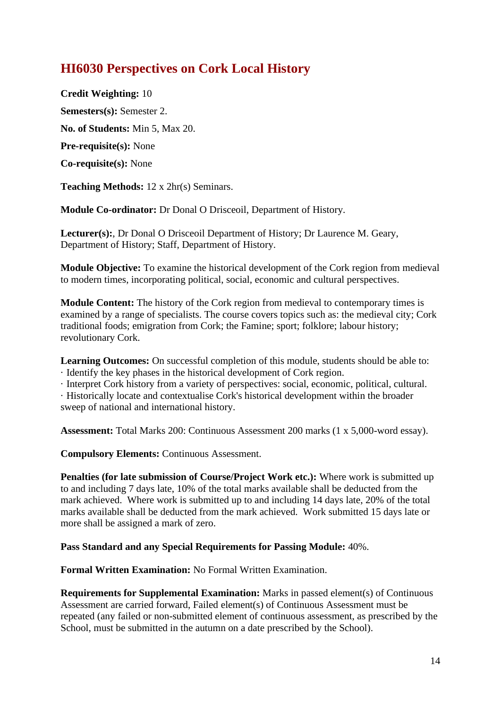## **HI6030 Perspectives on Cork Local History**

**Credit Weighting:** 10 **Semesters(s):** Semester 2. **No. of Students:** Min 5, Max 20. **Pre-requisite(s):** None **Co-requisite(s):** None

**Teaching Methods:** 12 x 2hr(s) Seminars.

**Module Co-ordinator:** Dr Donal O Drisceoil, Department of History.

**Lecturer(s):**, Dr Donal O Drisceoil Department of History; Dr Laurence M. Geary, Department of History; Staff, Department of History.

**Module Objective:** To examine the historical development of the Cork region from medieval to modern times, incorporating political, social, economic and cultural perspectives.

**Module Content:** The history of the Cork region from medieval to contemporary times is examined by a range of specialists. The course covers topics such as: the medieval city; Cork traditional foods; emigration from Cork; the Famine; sport; folklore; labour history; revolutionary Cork.

**Learning Outcomes:** On successful completion of this module, students should be able to: · Identify the key phases in the historical development of Cork region.

· Interpret Cork history from a variety of perspectives: social, economic, political, cultural.

· Historically locate and contextualise Cork's historical development within the broader sweep of national and international history.

**Assessment:** Total Marks 200: Continuous Assessment 200 marks (1 x 5,000-word essay).

**Compulsory Elements:** Continuous Assessment.

**Penalties (for late submission of Course/Project Work etc.):** Where work is submitted up to and including 7 days late, 10% of the total marks available shall be deducted from the mark achieved. Where work is submitted up to and including 14 days late, 20% of the total marks available shall be deducted from the mark achieved. Work submitted 15 days late or more shall be assigned a mark of zero.

**Pass Standard and any Special Requirements for Passing Module:** 40%.

**Formal Written Examination:** No Formal Written Examination.